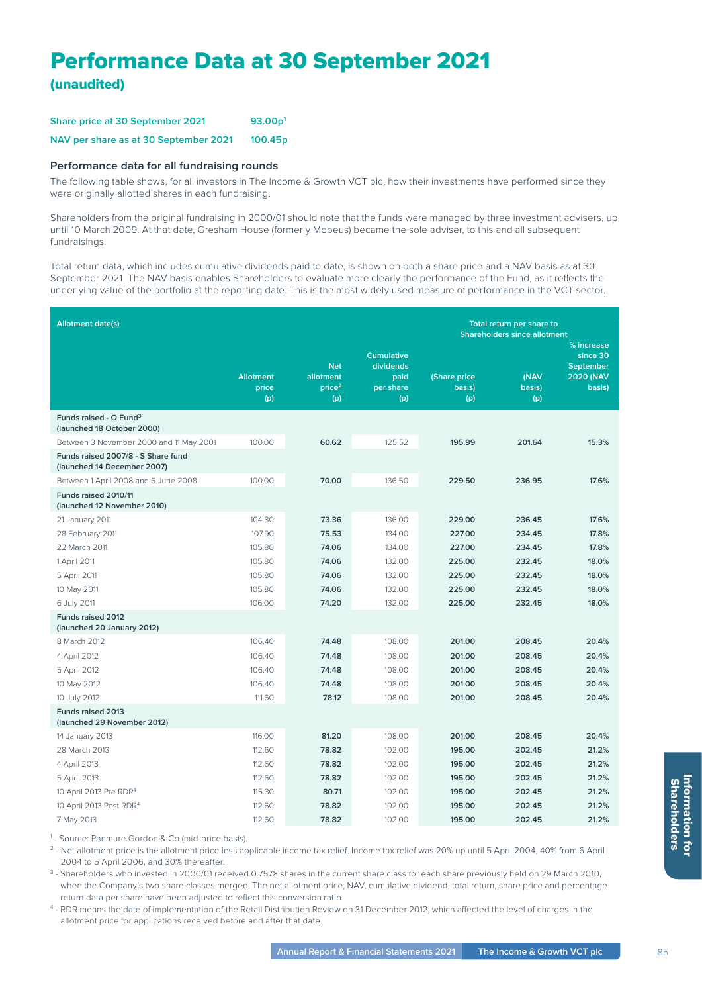## Performance Data at 30 September 2021 (unaudited)

| Share price at 30 September 2021      | 93.00 <sub>p</sub>  |  |  |
|---------------------------------------|---------------------|--|--|
| NAV per share as at 30 September 2021 | 100.45 <sub>p</sub> |  |  |

## **Performance data for all fundraising rounds**

The following table shows, for all investors in The Income & Growth VCT plc, how their investments have performed since they were originally allotted shares in each fundraising.

Shareholders from the original fundraising in 2000/01 should note that the funds were managed by three investment advisers, up until 10 March 2009. At that date, Gresham House (formerly Mobeus) became the sole adviser, to this and all subsequent fundraisings.

Total return data, which includes cumulative dividends paid to date, is shown on both a share price and a NAV basis as at 30 September 2021. The NAV basis enables Shareholders to evaluate more clearly the performance of the Fund, as it reflects the underlying value of the portfolio at the reporting date. This is the most widely used measure of performance in the VCT sector.

| <b>Allotment date(s)</b><br>Total return per share to             |                                  |                                                      |                                                            |                                     |                       |                                                                          |  |
|-------------------------------------------------------------------|----------------------------------|------------------------------------------------------|------------------------------------------------------------|-------------------------------------|-----------------------|--------------------------------------------------------------------------|--|
|                                                                   |                                  |                                                      |                                                            | <b>Shareholders since allotment</b> |                       |                                                                          |  |
|                                                                   | <b>Allotment</b><br>price<br>(p) | <b>Net</b><br>allotment<br>price <sup>2</sup><br>(p) | <b>Cumulative</b><br>dividends<br>paid<br>per share<br>(p) | (Share price<br>basis)<br>(p)       | (NAV<br>basis)<br>(p) | % increase<br>since 30<br><b>September</b><br><b>2020 (NAV</b><br>basis) |  |
| Funds raised - O Fund <sup>3</sup><br>(launched 18 October 2000)  |                                  |                                                      |                                                            |                                     |                       |                                                                          |  |
| Between 3 November 2000 and 11 May 2001                           | 100.00                           | 60.62                                                | 125.52                                                     | 195.99                              | 201.64                | 15.3%                                                                    |  |
| Funds raised 2007/8 - S Share fund<br>(launched 14 December 2007) |                                  |                                                      |                                                            |                                     |                       |                                                                          |  |
| Between 1 April 2008 and 6 June 2008                              | 100.00                           | 70.00                                                | 136.50                                                     | 229.50                              | 236.95                | 17.6%                                                                    |  |
| Funds raised 2010/11<br>(launched 12 November 2010)               |                                  |                                                      |                                                            |                                     |                       |                                                                          |  |
| 21 January 2011                                                   | 104.80                           | 73.36                                                | 136.00                                                     | 229.00                              | 236.45                | 17.6%                                                                    |  |
| 28 February 2011                                                  | 107.90                           | 75.53                                                | 134.00                                                     | 227.00                              | 234.45                | 17.8%                                                                    |  |
| 22 March 2011                                                     | 105.80                           | 74.06                                                | 134.00                                                     | 227.00                              | 234.45                | 17.8%                                                                    |  |
| 1 April 2011                                                      | 105.80                           | 74.06                                                | 132.00                                                     | 225.00                              | 232.45                | 18.0%                                                                    |  |
| 5 April 2011                                                      | 105.80                           | 74.06                                                | 132.00                                                     | 225.00                              | 232.45                | 18.0%                                                                    |  |
| 10 May 2011                                                       | 105.80                           | 74.06                                                | 132.00                                                     | 225.00                              | 232.45                | 18.0%                                                                    |  |
| 6 July 2011                                                       | 106.00                           | 74.20                                                | 132.00                                                     | 225.00                              | 232.45                | 18.0%                                                                    |  |
| <b>Funds raised 2012</b><br>(launched 20 January 2012)            |                                  |                                                      |                                                            |                                     |                       |                                                                          |  |
| 8 March 2012                                                      | 106.40                           | 74.48                                                | 108.00                                                     | 201.00                              | 208.45                | 20.4%                                                                    |  |
| 4 April 2012                                                      | 106.40                           | 74.48                                                | 108.00                                                     | 201.00                              | 208.45                | 20.4%                                                                    |  |
| 5 April 2012                                                      | 106.40                           | 74.48                                                | 108.00                                                     | 201.00                              | 208.45                | 20.4%                                                                    |  |
| 10 May 2012                                                       | 106.40                           | 74.48                                                | 108.00                                                     | 201.00                              | 208.45                | 20.4%                                                                    |  |
| 10 July 2012                                                      | 111.60                           | 78.12                                                | 108.00                                                     | 201.00                              | 208.45                | 20.4%                                                                    |  |
| <b>Funds raised 2013</b><br>(launched 29 November 2012)           |                                  |                                                      |                                                            |                                     |                       |                                                                          |  |
| 14 January 2013                                                   | 116.00                           | 81.20                                                | 108.00                                                     | 201.00                              | 208.45                | 20.4%                                                                    |  |
| 28 March 2013                                                     | 112.60                           | 78.82                                                | 102.00                                                     | 195.00                              | 202.45                | 21.2%                                                                    |  |
| 4 April 2013                                                      | 112.60                           | 78.82                                                | 102.00                                                     | 195.00                              | 202.45                | 21.2%                                                                    |  |
| 5 April 2013                                                      | 112.60                           | 78.82                                                | 102.00                                                     | 195.00                              | 202.45                | 21.2%                                                                    |  |
| 10 April 2013 Pre RDR <sup>4</sup>                                | 115.30                           | 80.71                                                | 102.00                                                     | 195.00                              | 202.45                | 21.2%                                                                    |  |
| 10 April 2013 Post RDR <sup>4</sup>                               | 112.60                           | 78.82                                                | 102.00                                                     | 195.00                              | 202.45                | 21.2%                                                                    |  |
| 7 May 2013                                                        | 112.60                           | 78.82                                                | 102.00                                                     | 195.00                              | 202.45                | 21.2%                                                                    |  |

<sup>1</sup> - Source: Panmure Gordon & Co (mid-price basis).

<sup>2</sup> - Net allotment price is the allotment price less applicable income tax relief. Income tax relief was 20% up until 5 April 2004, 40% from 6 April 2004 to 5 April 2006, and 30% thereafter.

<sup>3</sup> - Shareholders who invested in 2000/01 received 0.7578 shares in the current share class for each share previously held on 29 March 2010, when the Company's two share classes merged. The net allotment price, NAV, cumulative dividend, total return, share price and percentage return data per share have been adjusted to reflect this conversion ratio.

4 - RDR means the date of implementation of the Retail Distribution Review on 31 December 2012, which affected the level of charges in the allotment price for applications received before and after that date.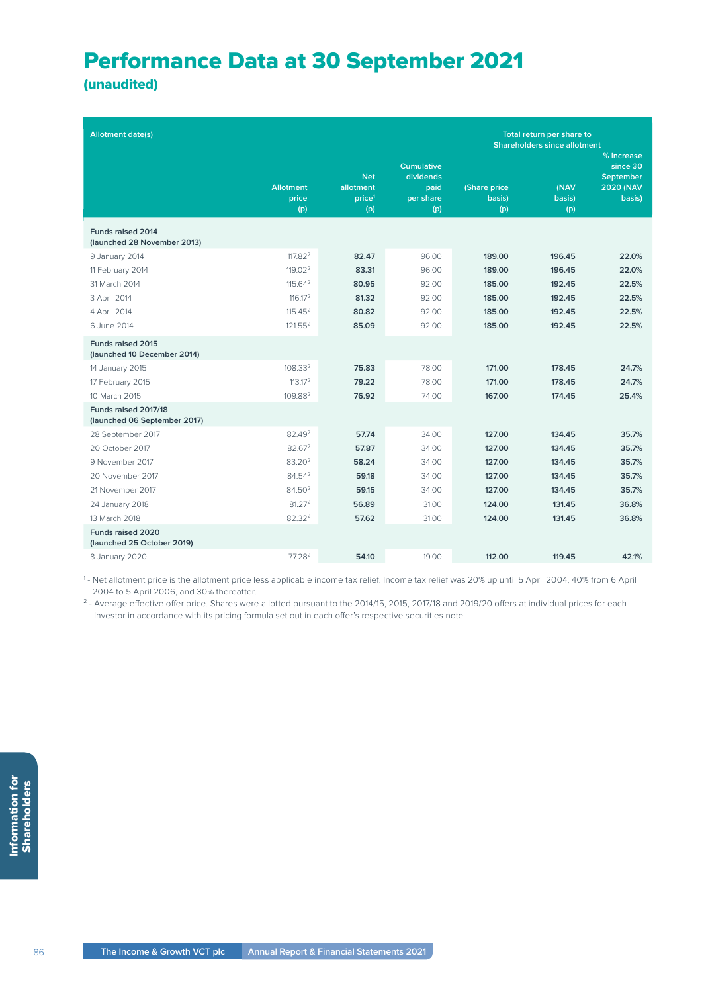## Performance Data at 30 September 2021

(unaudited)

| <b>Allotment date(s)</b>                             |                                  |                                                      |                                                            | Total return per share to<br><b>Shareholders since allotment</b><br>% increase |                       |                                                            |
|------------------------------------------------------|----------------------------------|------------------------------------------------------|------------------------------------------------------------|--------------------------------------------------------------------------------|-----------------------|------------------------------------------------------------|
|                                                      | <b>Allotment</b><br>price<br>(p) | <b>Net</b><br>allotment<br>price <sup>1</sup><br>(p) | <b>Cumulative</b><br>dividends<br>paid<br>per share<br>(p) | (Share price<br>basis)<br>(p)                                                  | (NAV<br>basis)<br>(p) | since 30<br><b>September</b><br><b>2020 (NAV</b><br>basis) |
| Funds raised 2014<br>(launched 28 November 2013)     |                                  |                                                      |                                                            |                                                                                |                       |                                                            |
| 9 January 2014                                       | 117.82 <sup>2</sup>              | 82.47                                                | 96.00                                                      | 189.00                                                                         | 196.45                | 22.0%                                                      |
| 11 February 2014                                     | 119.02 <sup>2</sup>              | 83.31                                                | 96.00                                                      | 189.00                                                                         | 196.45                | 22.0%                                                      |
| 31 March 2014                                        | 115.64 <sup>2</sup>              | 80.95                                                | 92.00                                                      | 185.00                                                                         | 192.45                | 22.5%                                                      |
| 3 April 2014                                         | 116.17 <sup>2</sup>              | 81.32                                                | 92.00                                                      | 185.00                                                                         | 192.45                | 22.5%                                                      |
| 4 April 2014                                         | 115.45 <sup>2</sup>              | 80.82                                                | 92.00                                                      | 185.00                                                                         | 192.45                | 22.5%                                                      |
| 6 June 2014                                          | 121.55 <sup>2</sup>              | 85.09                                                | 92.00                                                      | 185.00                                                                         | 192.45                | 22.5%                                                      |
| Funds raised 2015<br>(launched 10 December 2014)     |                                  |                                                      |                                                            |                                                                                |                       |                                                            |
| 14 January 2015                                      | 108.332                          | 75.83                                                | 78.00                                                      | 171.00                                                                         | 178.45                | 24.7%                                                      |
| 17 February 2015                                     | 113.17 <sup>2</sup>              | 79.22                                                | 78.00                                                      | 171.00                                                                         | 178.45                | 24.7%                                                      |
| 10 March 2015                                        | 109.88 <sup>2</sup>              | 76.92                                                | 74.00                                                      | 167.00                                                                         | 174.45                | 25.4%                                                      |
| Funds raised 2017/18<br>(launched 06 September 2017) |                                  |                                                      |                                                            |                                                                                |                       |                                                            |
| 28 September 2017                                    | 82.49 <sup>2</sup>               | 57.74                                                | 34.00                                                      | 127.00                                                                         | 134.45                | 35.7%                                                      |
| 20 October 2017                                      | 82.67 <sup>2</sup>               | 57.87                                                | 34.00                                                      | 127.00                                                                         | 134.45                | 35.7%                                                      |
| 9 November 2017                                      | 83.20 <sup>2</sup>               | 58.24                                                | 34.00                                                      | 127.00                                                                         | 134.45                | 35.7%                                                      |
| 20 November 2017                                     | 84.54 <sup>2</sup>               | 59.18                                                | 34.00                                                      | 127.00                                                                         | 134.45                | 35.7%                                                      |
| 21 November 2017                                     | 84.50 <sup>2</sup>               | 59.15                                                | 34.00                                                      | 127.00                                                                         | 134.45                | 35.7%                                                      |
| 24 January 2018                                      | 81.27 <sup>2</sup>               | 56.89                                                | 31.00                                                      | 124.00                                                                         | 131.45                | 36.8%                                                      |
| 13 March 2018                                        | 82.32 <sup>2</sup>               | 57.62                                                | 31.00                                                      | 124.00                                                                         | 131.45                | 36.8%                                                      |
| Funds raised 2020<br>(launched 25 October 2019)      |                                  |                                                      |                                                            |                                                                                |                       |                                                            |
| 8 January 2020                                       | 77.28 <sup>2</sup>               | 54.10                                                | 19.00                                                      | 112.00                                                                         | 119.45                | 42.1%                                                      |

1 - Net allotment price is the allotment price less applicable income tax relief. Income tax relief was 20% up until 5 April 2004, 40% from 6 April 2004 to 5 April 2006, and 30% thereafter.

<sup>2</sup> - Average effective offer price. Shares were allotted pursuant to the 2014/15, 2015, 2017/18 and 2019/20 offers at individual prices for each investor in accordance with its pricing formula set out in each offer's respective securities note.